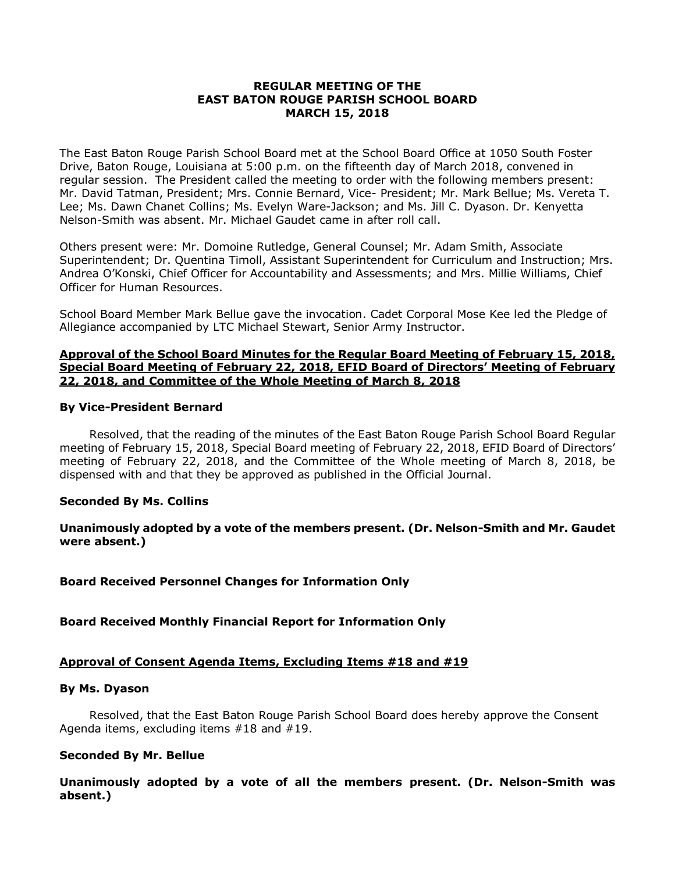## **REGULAR MEETING OF THE EAST BATON ROUGE PARISH SCHOOL BOARD MARCH 15, 2018**

The East Baton Rouge Parish School Board met at the School Board Office at 1050 South Foster Drive, Baton Rouge, Louisiana at 5:00 p.m. on the fifteenth day of March 2018, convened in regular session. The President called the meeting to order with the following members present: Mr. David Tatman, President; Mrs. Connie Bernard, Vice- President; Mr. Mark Bellue; Ms. Vereta T. Lee; Ms. Dawn Chanet Collins; Ms. Evelyn Ware-Jackson; and Ms. Jill C. Dyason. Dr. Kenyetta Nelson-Smith was absent. Mr. Michael Gaudet came in after roll call.

Others present were: Mr. Domoine Rutledge, General Counsel; Mr. Adam Smith, Associate Superintendent; Dr. Quentina Timoll, Assistant Superintendent for Curriculum and Instruction; Mrs. Andrea O'Konski, Chief Officer for Accountability and Assessments; and Mrs. Millie Williams, Chief Officer for Human Resources.

School Board Member Mark Bellue gave the invocation. Cadet Corporal Mose Kee led the Pledge of Allegiance accompanied by LTC Michael Stewart, Senior Army Instructor.

### **Approval of the School Board Minutes for the Regular Board Meeting of February 15, 2018, Special Board Meeting of February 22, 2018, EFID Board of Directors' Meeting of February 22, 2018, and Committee of the Whole Meeting of March 8, 2018**

### **By Vice-President Bernard**

Resolved, that the reading of the minutes of the East Baton Rouge Parish School Board Regular meeting of February 15, 2018, Special Board meeting of February 22, 2018, EFID Board of Directors' meeting of February 22, 2018, and the Committee of the Whole meeting of March 8, 2018, be dispensed with and that they be approved as published in the Official Journal.

## **Seconded By Ms. Collins**

**Unanimously adopted by a vote of the members present. (Dr. Nelson-Smith and Mr. Gaudet were absent.)**

**Board Received Personnel Changes for Information Only**

**Board Received Monthly Financial Report for Information Only**

## **Approval of Consent Agenda Items, Excluding Items #18 and #19**

### **By Ms. Dyason**

Resolved, that the East Baton Rouge Parish School Board does hereby approve the Consent Agenda items, excluding items #18 and #19.

### **Seconded By Mr. Bellue**

**Unanimously adopted by a vote of all the members present. (Dr. Nelson-Smith was absent.)**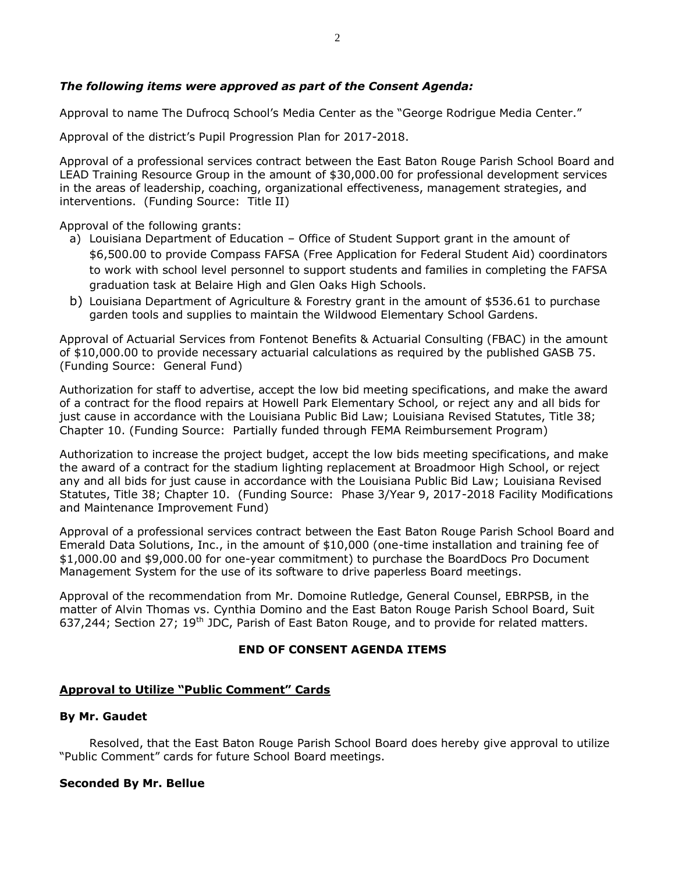## *The following items were approved as part of the Consent Agenda:*

Approval to name The Dufrocq School's Media Center as the "George Rodrigue Media Center."

Approval of the district's Pupil Progression Plan for 2017-2018.

Approval of a professional services contract between the East Baton Rouge Parish School Board and LEAD Training Resource Group in the amount of \$30,000.00 for professional development services in the areas of leadership, coaching, organizational effectiveness, management strategies, and interventions. (Funding Source: Title II)

Approval of the following grants:

- a) Louisiana Department of Education Office of Student Support grant in the amount of \$6,500.00 to provide Compass FAFSA (Free Application for Federal Student Aid) coordinators to work with school level personnel to support students and families in completing the FAFSA graduation task at Belaire High and Glen Oaks High Schools.
- b) Louisiana Department of Agriculture & Forestry grant in the amount of \$536.61 to purchase garden tools and supplies to maintain the Wildwood Elementary School Gardens.

Approval of Actuarial Services from Fontenot Benefits & Actuarial Consulting (FBAC) in the amount of \$10,000.00 to provide necessary actuarial calculations as required by the published GASB 75. (Funding Source: General Fund)

Authorization for staff to advertise, accept the low bid meeting specifications, and make the award of a contract for the flood repairs at Howell Park Elementary School*,* or reject any and all bids for just cause in accordance with the Louisiana Public Bid Law; Louisiana Revised Statutes, Title 38; Chapter 10. (Funding Source: Partially funded through FEMA Reimbursement Program)

Authorization to increase the project budget, accept the low bids meeting specifications, and make the award of a contract for the stadium lighting replacement at Broadmoor High School, or reject any and all bids for just cause in accordance with the Louisiana Public Bid Law; Louisiana Revised Statutes, Title 38; Chapter 10. (Funding Source: Phase 3/Year 9, 2017-2018 Facility Modifications and Maintenance Improvement Fund)

Approval of a professional services contract between the East Baton Rouge Parish School Board and Emerald Data Solutions, Inc., in the amount of \$10,000 (one-time installation and training fee of \$1,000.00 and \$9,000.00 for one-year commitment) to purchase the BoardDocs Pro Document Management System for the use of its software to drive paperless Board meetings.

Approval of the recommendation from Mr. Domoine Rutledge, General Counsel, EBRPSB, in the matter of Alvin Thomas vs. Cynthia Domino and the East Baton Rouge Parish School Board, Suit 637,244; Section 27; 19<sup>th</sup> JDC, Parish of East Baton Rouge, and to provide for related matters.

## **END OF CONSENT AGENDA ITEMS**

## **Approval to Utilize "Public Comment" Cards**

### **By Mr. Gaudet**

Resolved, that the East Baton Rouge Parish School Board does hereby give approval to utilize "Public Comment" cards for future School Board meetings.

### **Seconded By Mr. Bellue**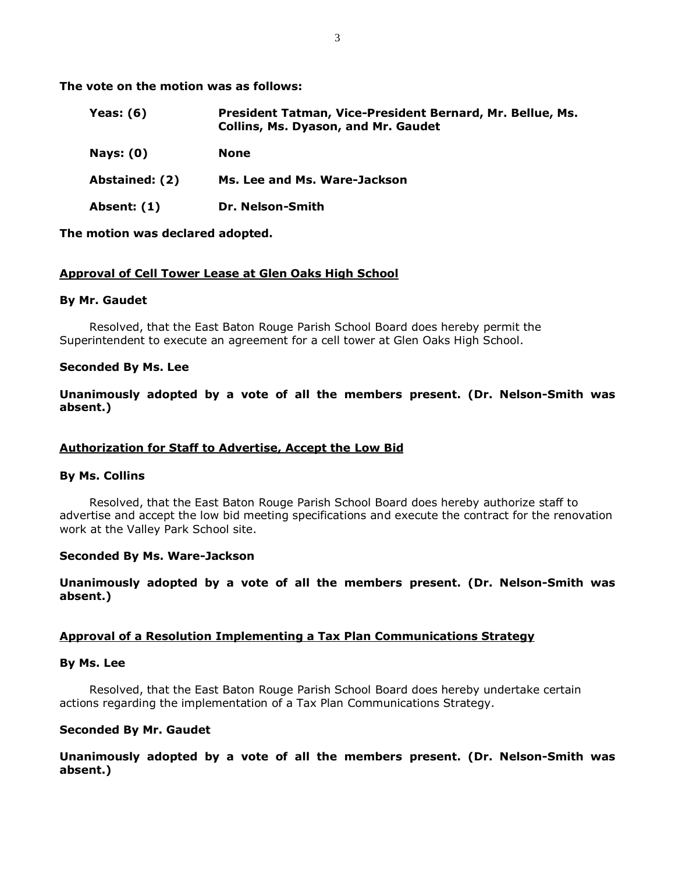**The vote on the motion was as follows:**

| Yeas: $(6)$    | President Tatman, Vice-President Bernard, Mr. Bellue, Ms.<br><b>Collins, Ms. Dyason, and Mr. Gaudet</b> |
|----------------|---------------------------------------------------------------------------------------------------------|
| Nays: $(0)$    | <b>None</b>                                                                                             |
| Abstained: (2) | Ms. Lee and Ms. Ware-Jackson                                                                            |
| Absent: (1)    | Dr. Nelson-Smith                                                                                        |

### **The motion was declared adopted.**

### **Approval of Cell Tower Lease at Glen Oaks High School**

### **By Mr. Gaudet**

Resolved, that the East Baton Rouge Parish School Board does hereby permit the Superintendent to execute an agreement for a cell tower at Glen Oaks High School.

### **Seconded By Ms. Lee**

**Unanimously adopted by a vote of all the members present. (Dr. Nelson-Smith was absent.)**

## **Authorization for Staff to Advertise, Accept the Low Bid**

### **By Ms. Collins**

Resolved, that the East Baton Rouge Parish School Board does hereby authorize staff to advertise and accept the low bid meeting specifications and execute the contract for the renovation work at the Valley Park School site.

### **Seconded By Ms. Ware-Jackson**

**Unanimously adopted by a vote of all the members present. (Dr. Nelson-Smith was absent.)**

## **Approval of a Resolution Implementing a Tax Plan Communications Strategy**

### **By Ms. Lee**

Resolved, that the East Baton Rouge Parish School Board does hereby undertake certain actions regarding the implementation of a Tax Plan Communications Strategy.

### **Seconded By Mr. Gaudet**

**Unanimously adopted by a vote of all the members present. (Dr. Nelson-Smith was absent.)**